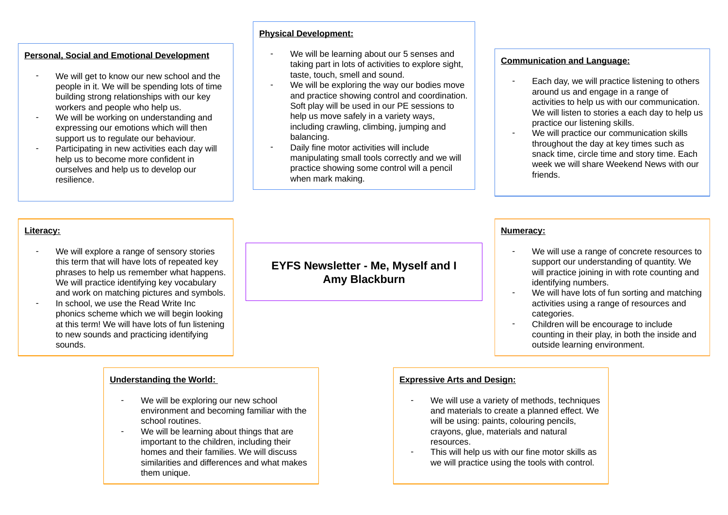## **Personal, Social and Emotional Development**

- We will get to know our new school and the people in it. We will be spending lots of time building strong relationships with our key workers and people who help us.
- We will be working on understanding and expressing our emotions which will then support us to regulate our behaviour.
- Participating in new activities each day will help us to become more confident in ourselves and help us to develop our resilience.

### **Physical Development:**

- We will be learning about our 5 senses and taking part in lots of activities to explore sight, taste, touch, smell and sound.
- We will be exploring the way our bodies move and practice showing control and coordination. Soft play will be used in our PE sessions to help us move safely in a variety ways, including crawling, climbing, jumping and balancing.
- Daily fine motor activities will include manipulating small tools correctly and we will practice showing some control will a pencil when mark making.

### **Communication and Language:**

- Each day, we will practice listening to others around us and engage in a range of activities to help us with our communication. We will listen to stories a each day to help us practice our listening skills.
- We will practice our communication skills throughout the day at key times such as snack time, circle time and story time. Each week we will share Weekend News with our friends.

### **Literacy:**

- We will explore a range of sensory stories this term that will have lots of repeated key phrases to help us remember what happens. We will practice identifying key vocabulary and work on matching pictures and symbols.
- In school, we use the Read Write Inc. phonics scheme which we will begin looking at this term! We will have lots of fun listening to new sounds and practicing identifying sounds.

### **Understanding the World:**

- We will be exploring our new school environment and becoming familiar with the school routines.
- We will be learning about things that are important to the children, including their homes and their families. We will discuss similarities and differences and what makes them unique.

# **EYFS Newsletter - Me, Myself and I Amy Blackburn**

### **Numeracy:**

- We will use a range of concrete resources to support our understanding of quantity. We will practice joining in with rote counting and identifying numbers.
- We will have lots of fun sorting and matching activities using a range of resources and categories.
- Children will be encourage to include counting in their play, in both the inside and outside learning environment.

### **Expressive Arts and Design:**

- We will use a variety of methods, techniques and materials to create a planned effect. We will be using: paints, colouring pencils. crayons, glue, materials and natural resources.
- This will help us with our fine motor skills as we will practice using the tools with control.